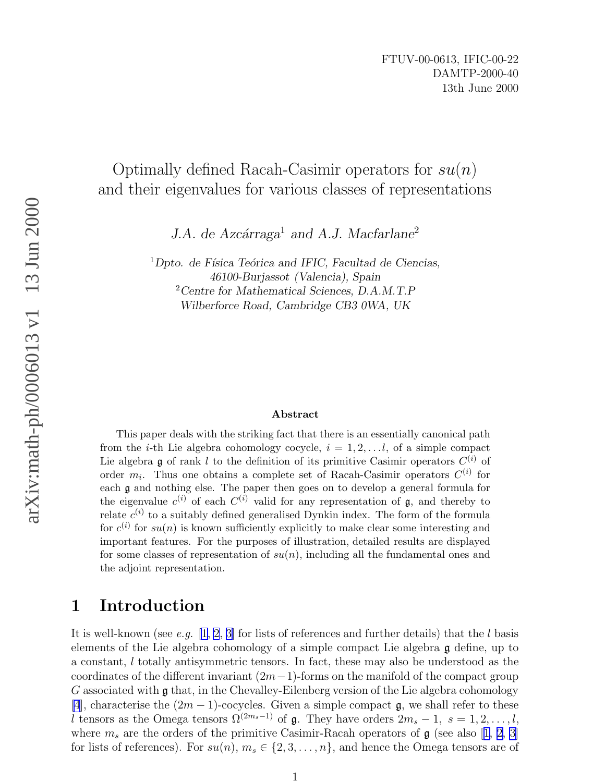## Optimally defined Racah-Casimir operators for  $su(n)$ and their eigen values for various classes of representations

J.A. de Azcárraga<sup>1</sup> and A.J. Macfarlane<sup>2</sup>

 $1$ Dpto. de Física Teórica and IFIC, Facultad de Ciencias, 46100-Burjassot (Valencia), Spain <sup>2</sup> Centre for Mathematical Sciences, D.A.M.T.P Wilberforce Road, Cambridge CB3 0WA, UK

#### Abstract

This paper deals with the striking fact that there is an essentially canonical path from the *i*-th Lie algebra cohomology cocycle,  $i = 1, 2, \ldots l$ , of a simple compact Lie algebra  $\mathfrak g$  of rank l to the definition of its primitive Casimir operators  $C^{(i)}$  of order  $m_i$ . Thus one obtains a complete set of Racah-Casimir operators  $C^{(i)}$  for eac h g and nothing else. The paper then goes on to develop a general formula for the eigenvalue  $c^{(i)}$  of each  $C^{(i)}$  valid for any representation of  $\mathfrak{g}$ , and thereby to relate  $c^{(i)}$  to a suitably defined generalised Dynkin index. The form of the formula for  $c^{(i)}$  for  $su(n)$  is known sufficiently explicitly to make clear some interesting and importan t features. For the purposes of illustration, detailed results are displa yed for some classes of representation of  $su(n)$ , including all the fundamental ones and the adjoin t representation.

## 1 Introduction

It is well-known (see *e.g.*  $[1, 2, 3]$  $[1, 2, 3]$  $[1, 2, 3]$  $[1, 2, 3]$  $[1, 2, 3]$  $[1, 2, 3]$  for lists of references and further details) that the *l* basis elements of the Lie algebra cohomology of a simple compact Lie algebra g define, up to a constant, l totally antisymmetric tensors. In fact, these may also be understood as the coordinates of the different invariant  $(2m-1)$ -forms on the manifold of the compact group G associated with g that, in the Chevalley-Eilen berg version of the Lie algebra cohomology [\[4](#page-14-0)], characterise the  $(2m-1)$ -cocycles. Given a simple compact **g**, we shall refer to these l tensors as the Omega tensors  $\Omega^{(2m_s-1)}$  of **g**. They have orders  $2m_s - 1$ ,  $s = 1, 2, ..., l$ , where  $m_s$  are the orders of the primitive Casimir-Racah operators of  $\mathfrak g$  (see also [[1](#page-14-0), [2](#page-14-0), [3](#page-14-0)] for lists of references). For  $su(n)$ ,  $m_s \in \{2, 3, ..., n\}$ , and hence the Omega tensors are of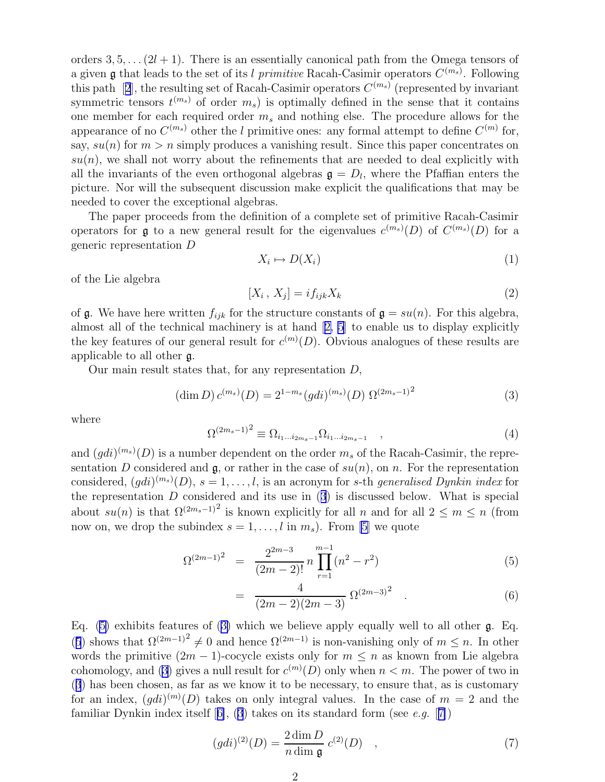<span id="page-1-0"></span>orders  $3, 5, \ldots (2l + 1)$ . There is an essentially canonical path from the Omega tensors of a given **g** that leads to the set of its l primitive Racah-Casimir operators  $C^{(m_s)}$ . Following this path [[2](#page-14-0)], the resulting set of Racah-Casimir operators  $C^{(m_s)}$  (represented by invariant symmetric tensors  $t^{(m_s)}$  of order  $m_s$ ) is optimally defined in the sense that it contains one member for each required order  $m_s$  and nothing else. The procedure allows for the appearance of no  $C^{(m_s)}$  other the l primitive ones: any formal attempt to define  $C^{(m)}$  for, say,  $su(n)$  for  $m > n$  simply produces a vanishing result. Since this paper concentrates on  $su(n)$ , we shall not worry about the refinements that are needed to deal explicitly with all the invariants of the even orthogonal algebras  $\mathfrak{g} = D_l$ , where the Pfaffian enters the picture. Nor will the subsequent discussion make explicit the qualifications that may be needed to cover the exceptional algebras.

The paper proceeds from the definition of a complete set of primitive Racah-Casimir operators for **g** to a new general result for the eigenvalues  $c^{(m_s)}(D)$  of  $C^{(m_s)}(D)$  for a generic representation D

$$
X_i \mapsto D(X_i) \tag{1}
$$

of the Lie algebra

$$
[X_i, X_j] = i f_{ijk} X_k \tag{2}
$$

of  $\mathfrak g$ . We have here written  $f_{ijk}$  for the structure constants of  $\mathfrak g = su(n)$ . For this algebra, almost all of the technical machinery is at hand [[2,](#page-14-0) [5](#page-14-0)] to enable us to display explicitly the key features of our general result for  $c^{(m)}(D)$ . Obvious analogues of these results are applicable to all other g.

Our main result states that, for any representation  $D$ ,

$$
(\dim D) c^{(m_s)}(D) = 2^{1 - m_s} (gdi)^{(m_s)}(D) \ \Omega^{(2m_s - 1)^2}
$$
\n(3)

where

$$
\Omega^{(2m_s-1)^2} \equiv \Omega_{i_1...i_{2m_s-1}} \Omega_{i_1...i_{2m_s-1}} \quad , \tag{4}
$$

and  $(gdi)^{(m_s)}(D)$  is a number dependent on the order  $m_s$  of the Racah-Casimir, the representation D considered and  $\mathfrak{g}$ , or rather in the case of  $su(n)$ , on n. For the representation considered,  $(gdi)^{(m_s)}(D)$ ,  $s = 1, \ldots, l$ , is an acronym for s-th generalised Dynkin index for the representation  $D$  considered and its use in  $(3)$  is discussed below. What is special about  $su(n)$  is that  $\Omega^{(2m_s-1)^2}$  is known explicitly for all n and for all  $2 \leq m \leq n$  (from now on, we drop the subindex  $s = 1, \ldots, l$  in  $m_s$ ). From [\[5\]](#page-14-0) we quote

$$
\Omega^{(2m-1)^2} = \frac{2^{2m-3}}{(2m-2)!} n \prod_{r=1}^{m-1} (n^2 - r^2)
$$
\n(5)

$$
= \frac{4}{(2m-2)(2m-3)} \Omega^{(2m-3)^2} . \tag{6}
$$

Eq. (5) exhibits features of (3) which we believe apply equally well to all other  $\mathfrak{g}$ . Eq. (5) shows that  $\Omega^{(2m-1)} \neq 0$  and hence  $\Omega^{(2m-1)}$  is non-vanishing only of  $m \leq n$ . In other words the primitive  $(2m - 1)$ -cocycle exists only for  $m \leq n$  as known from Lie algebra cohomology, and (3) gives a null result for  $c^{(m)}(D)$  only when  $n < m$ . The power of two in (3) has been chosen, as far as we know it to be necessary, to ensure that, as is customary for an index,  $(gdi)^{(m)}(D)$  takes on only integral values. In the case of  $m = 2$  and the familiar Dynkin index itself [[6\]](#page-14-0), (3) takes on its standard form (see e.g. [[7\]](#page-14-0))

$$
(gdi)^{(2)}(D) = \frac{2 \dim D}{n \dim \mathfrak{g}} c^{(2)}(D) , \qquad (7)
$$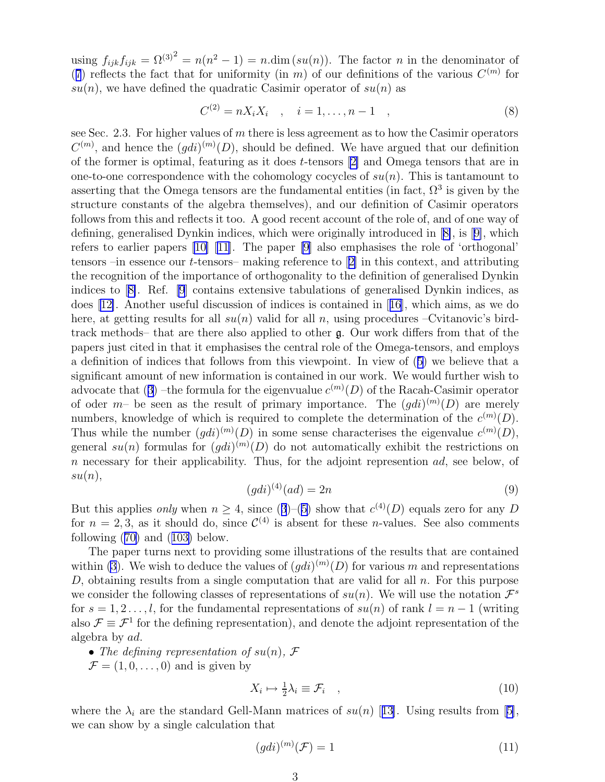<span id="page-2-0"></span>using  $f_{ijk}f_{ijk} = \Omega^{(3)}^2 = n(n^2 - 1) = n \dim (su(n))$ . The factor n in the denominator of ([7](#page-1-0)) reflects the fact that for uniformity (in m) of our definitions of the various  $C^{(m)}$  for  $su(n)$ , we have defined the quadratic Casimir operator of  $su(n)$  as

$$
C^{(2)} = nX_iX_i \quad , \quad i = 1, \dots, n-1 \quad , \tag{8}
$$

see Sec. 2.3. For higher values of  $m$  there is less agreement as to how the Casimir operators  $C^{(m)}$ , and hence the  $(gdi)^{(m)}(D)$ , should be defined. We have argued that our definition of the former is optimal, featuring as it does t-tensors [[2\]](#page-14-0) and Omega tensors that are in one-to-one correspondence with the cohomology cocycles of  $su(n)$ . This is tantamount to asserting that the Omega tensors are the fundamental entities (in fact,  $\Omega^3$  is given by the structure constants of the algebra themselves), and our definition of Casimir operators follows from this and reflects it too. A good recent account of the role of, and of one way of defining, generalised Dynkin indices, which were originally introduced in [[8\]](#page-14-0), is [[9\]](#page-14-0), which refers to earlier papers [\[10\]](#page-14-0) [\[11\]](#page-14-0). The paper [\[9\]](#page-14-0) also emphasises the role of 'orthogonal' tensors –in essence our t-tensors– making reference to [\[2\]](#page-14-0) in this context, and attributing the recognition of the importance of orthogonality to the definition of generalised Dynkin indices to [[8\]](#page-14-0). Ref. [\[9](#page-14-0)] contains extensive tabulations of generalised Dynkin indices, as does [[12\]](#page-15-0). Another useful discussion of indices is contained in [[16](#page-15-0)], which aims, as we do here, at getting results for all  $su(n)$  valid for all n, using procedures –Cvitanovic's birdtrack methods– that are there also applied to other g. Our work differs from that of the papers just cited in that it emphasises the central role of the Omega-tensors, and employs a definition of indices that follows from this viewpoint. In view of ([5](#page-1-0)) we believe that a significant amount of new information is contained in our work. We would further wish to advocate that ([3](#page-1-0)) –the formula for the eigenvualue  $c^{(m)}(D)$  of the Racah-Casimir operator of oder  $m$ - be seen as the result of primary importance. The  $(gdi)^{(m)}(D)$  are merely numbers, knowledge of which is required to complete the determination of the  $c^{(m)}(D)$ . Thus while the number  $(gdi)^{(m)}(D)$  in some sense characterises the eigenvalue  $c^{(m)}(D)$ , general  $su(n)$  formulas for  $(gdi)^{(m)}(D)$  do not automatically exhibit the restrictions on  $n$  necessary for their applicability. Thus, for the adjoint represention  $ad$ , see below, of  $su(n),$ 

$$
(gdi)^{(4)}(ad) = 2n\tag{9}
$$

But this applies *only* when  $n \geq 4$ , since ([3](#page-1-0))–[\(5\)](#page-1-0) show that  $c^{(4)}(D)$  equals zero for any D for  $n = 2, 3$ , as it should do, since  $\mathcal{C}^{(4)}$  is absent for these *n*-values. See also comments following ([70\)](#page-9-0) and ([103\)](#page-12-0) below.

The paper turns next to providing some illustrations of the results that are contained within [\(3](#page-1-0)). We wish to deduce the values of  $(gdi)^{(m)}(D)$  for various m and representations D, obtaining results from a single computation that are valid for all  $n$ . For this purpose we consider the following classes of representations of  $su(n)$ . We will use the notation  $\mathcal{F}^s$ for  $s = 1, 2, \ldots, l$ , for the fundamental representations of  $su(n)$  of rank  $l = n - 1$  (writing also  $\mathcal{F} \equiv \mathcal{F}^1$  for the defining representation), and denote the adjoint representation of the algebra by ad.

• The defining representation of  $su(n)$ , F  $\mathcal{F} = (1, 0, \dots, 0)$  and is given by

$$
X_i \mapsto \frac{1}{2}\lambda_i \equiv \mathcal{F}_i \quad , \tag{10}
$$

where the  $\lambda_i$  are the standard Gell-Mann matrices of  $su(n)$  [[13\]](#page-15-0). Using results from [\[5\]](#page-14-0), we can show by a single calculation that

$$
(gdi)^{(m)}(\mathcal{F}) = 1\tag{11}
$$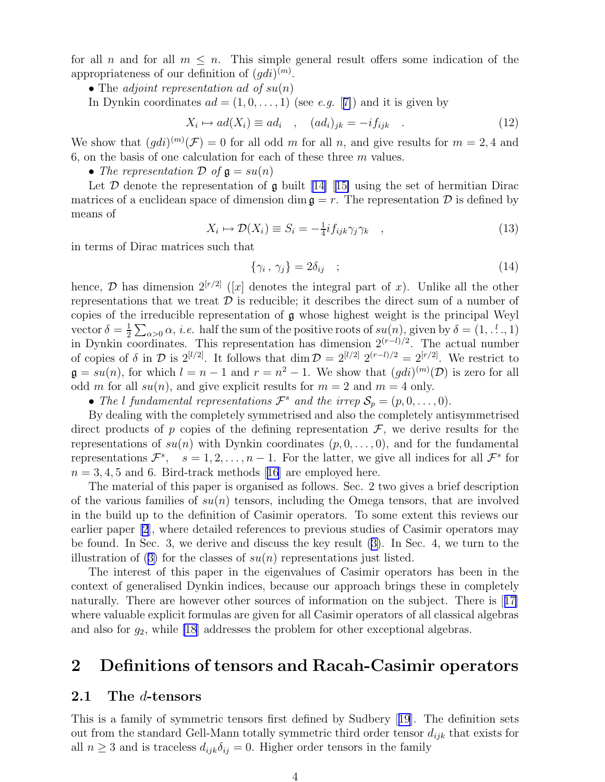for all n and for all  $m \leq n$ . This simple general result offers some indication of the appropriateness of our definition of  $(gdi)^{(m)}$ .

• The *adjoint representation ad of su(n)* 

In Dynkin coordinates  $ad = (1, 0, \ldots, 1)$  (see e.g. [[7\]](#page-14-0)) and it is given by

$$
X_i \mapsto ad(X_i) \equiv ad_i , \quad (ad_i)_{jk} = -if_{ijk} . \tag{12}
$$

We show that  $(gdi)^{(m)}(\mathcal{F})=0$  for all odd m for all n, and give results for  $m=2,4$  and 6, on the basis of one calculation for each of these three  $m$  values.

• The representation  $\mathcal D$  of  $\mathfrak g = su(n)$ 

Let  $\mathcal D$  denote the representation of  $\mathfrak g$  built [\[14\]](#page-15-0) [[15\]](#page-15-0) using the set of hermitian Dirac matrices of a euclidean space of dimension dim  $\mathfrak{g} = r$ . The representation D is defined by means of

$$
X_i \mapsto \mathcal{D}(X_i) \equiv S_i = -\frac{1}{4} i f_{ijk} \gamma_j \gamma_k \quad , \tag{13}
$$

in terms of Dirac matrices such that

$$
\{\gamma_i\,,\,\gamma_j\} = 2\delta_{ij} \quad ; \tag{14}
$$

hence,  $\mathcal{D}$  has dimension  $2^{[r/2]}$  ([x] denotes the integral part of x). Unlike all the other representations that we treat  $\mathcal D$  is reducible; it describes the direct sum of a number of copies of the irreducible representation of g whose highest weight is the principal Weyl vector  $\delta = \frac{1}{2}$  $\frac{1}{2}\sum_{\alpha>0}\alpha$ , *i.e.* half the sum of the positive roots of  $su(n)$ , given by  $\delta=(1,\ldots,1)$ in Dynkin coordinates. This representation has dimension  $2^{(r-l)/2}$ . The actual number of copies of  $\delta$  in  $\mathcal{D}$  is  $2^{[l/2]}$ . It follows that  $\dim \mathcal{D} = 2^{[l/2]} 2^{(r-l)/2} = 2^{[r/2]}$ . We restrict to  $\mathfrak{g} = su(n)$ , for which  $l = n - 1$  and  $r = n^2 - 1$ . We show that  $(gdi)^{(m)}(\mathcal{D})$  is zero for all odd m for all  $su(n)$ , and give explicit results for  $m = 2$  and  $m = 4$  only.

• The l fundamental representations  $\mathcal{F}^s$  and the irrep  $\mathcal{S}_p = (p, 0, \ldots, 0)$ .

By dealing with the completely symmetrised and also the completely antisymmetrised direct products of p copies of the defining representation  $\mathcal{F}$ , we derive results for the representations of  $su(n)$  with Dynkin coordinates  $(p, 0, \ldots, 0)$ , and for the fundamental representations  $\mathcal{F}^s$ ,  $s = 1, 2, ..., n - 1$ . For the latter, we give all indices for all  $\mathcal{F}^s$  for  $n = 3, 4, 5$  and 6. Bird-track methods [[16](#page-15-0)] are employed here.

The material of this paper is organised as follows. Sec. 2 two gives a brief description of the various families of  $su(n)$  tensors, including the Omega tensors, that are involved in the build up to the definition of Casimir operators. To some extent this reviews our earlier paper [\[2](#page-14-0)], where detailed references to previous studies of Casimir operators may be found. In Sec. 3, we derive and discuss the key result ([3\)](#page-1-0). In Sec. 4, we turn to the illustration of ([3\)](#page-1-0) for the classes of  $su(n)$  representations just listed.

The interest of this paper in the eigenvalues of Casimir operators has been in the context of generalised Dynkin indices, because our approach brings these in completely naturally. There are however other sources of information on the subject. There is [[17\]](#page-15-0) where valuable explicit formulas are given for all Casimir operators of all classical algebras and also for  $g_2$ , while [\[18](#page-15-0)] addresses the problem for other exceptional algebras.

## 2 Definitions of tensors and Racah-Casimir operators

#### 2.1 The d-tensors

This is a family of symmetric tensors first defined by Sudbery [[19](#page-15-0)]. The definition sets out from the standard Gell-Mann totally symmetric third order tensor  $d_{ijk}$  that exists for all  $n \geq 3$  and is traceless  $d_{ijk}\delta_{ij} = 0$ . Higher order tensors in the family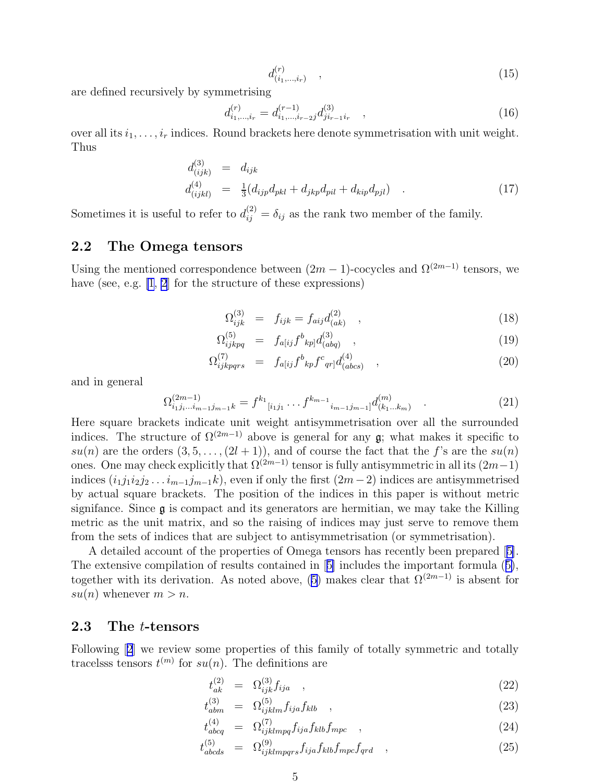$$
d_{(i_1,\ldots,i_r)}^{(r)} \quad , \tag{15}
$$

are defined recursively by symmetrising

$$
d_{i_1,\dots,i_r}^{(r)} = d_{i_1,\dots,i_{r-2}j}^{(r-1)} d_{j i_{r-1} i_r}^{(3)}, \qquad (16)
$$

over all its  $i_1, \ldots, i_r$  indices. Round brackets here denote symmetrisation with unit weight. Thus

$$
d_{(ijk)}^{(3)} = d_{ijk}
$$
  
\n
$$
d_{(ijkl)}^{(4)} = \frac{1}{3}(d_{ijp}d_{pkl} + d_{jkp}d_{pil} + d_{kip}d_{pjl})
$$
\n(17)

Sometimes it is useful to refer to  $d_{ij}^{(2)} = \delta_{ij}$  as the rank two member of the family.

### 2.2 The Omega tensors

Using the mentioned correspondence between  $(2m - 1)$ -cocycles and  $\Omega^{(2m-1)}$  tensors, we have (see, e.g. [\[1](#page-14-0), [2](#page-14-0)] for the structure of these expressions)

$$
\Omega_{ijk}^{(3)} = f_{ijk} = f_{aij}d_{(ak)}^{(2)} , \qquad (18)
$$

$$
\Omega_{ijkpq}^{(5)} = f_{a[ij} f^b{}_{kp]} d^{(3)}_{(abq)} \quad , \tag{19}
$$

$$
\Omega_{ijkpqrs}^{(7)} = f_{a[ij} f^b{}_{kp} f^c{}_{qr]} d^{(4)}_{(abcs)}, \qquad (20)
$$

and in general

$$
\Omega_{i_1 j_i \dots i_{m-1} j_{m-1} k}^{(2m-1)} = f^{k_1}{}_{[i_1 j_1} \dots f^{k_{m-1}}{}_{i_{m-1} j_{m-1}]} d_{(k_1 \dots k_m)}^{(m)} \tag{21}
$$

Here square brackets indicate unit weight antisymmetrisation over all the surrounded indices. The structure of  $\Omega^{(2m-1)}$  above is general for any  $\mathfrak{g}$ ; what makes it specific to  $su(n)$  are the orders  $(3, 5, \ldots, (2l + 1))$ , and of course the fact that the f's are the  $su(n)$ ones. One may check explicitly that  $\Omega^{(2m-1)}$  tensor is fully antisymmetric in all its  $(2m-1)$ indices  $(i_1j_1i_2j_2 \tldots i_{m-1}j_{m-1}k)$ , even if only the first  $(2m-2)$  indices are antisymmetrised by actual square brackets. The position of the indices in this paper is without metric signifance. Since  $\mathfrak g$  is compact and its generators are hermitian, we may take the Killing metric as the unit matrix, and so the raising of indices may just serve to remove them from the sets of indices that are subject to antisymmetrisation (or symmetrisation).

A detailed account of the properties of Omega tensors has recently been prepared [\[5\]](#page-14-0). The extensive compilation of results contained in [[5\]](#page-14-0) includes the important formula ([5\)](#page-1-0), together with its derivation. As noted above, [\(5\)](#page-1-0) makes clear that  $\Omega^{(2m-1)}$  is absent for  $su(n)$  whenever  $m > n$ .

#### 2.3 The t-tensors

Following  $[2]$  $[2]$  $[2]$  we review some properties of this family of totally symmetric and totally tracelsss tensors  $t^{(m)}$  for  $su(n)$ . The definitions are

$$
t_{ak}^{(2)} = \Omega_{ijk}^{(3)} f_{ija} \quad , \tag{22}
$$

$$
t_{abm}^{(3)} = \Omega_{ijklm}^{(5)} f_{ij} t_{klb} , \qquad (23)
$$

$$
t_{abcd}^{(4)} = \Omega_{ijklmpq}^{(7)} f_{ija} f_{klb} f_{mpc} \quad , \tag{24}
$$

$$
t_{abcds}^{(5)} = \Omega_{ijklmpqrs}^{(9)} f_{ija} f_{klb} f_{mpc} f_{qrd} \quad , \tag{25}
$$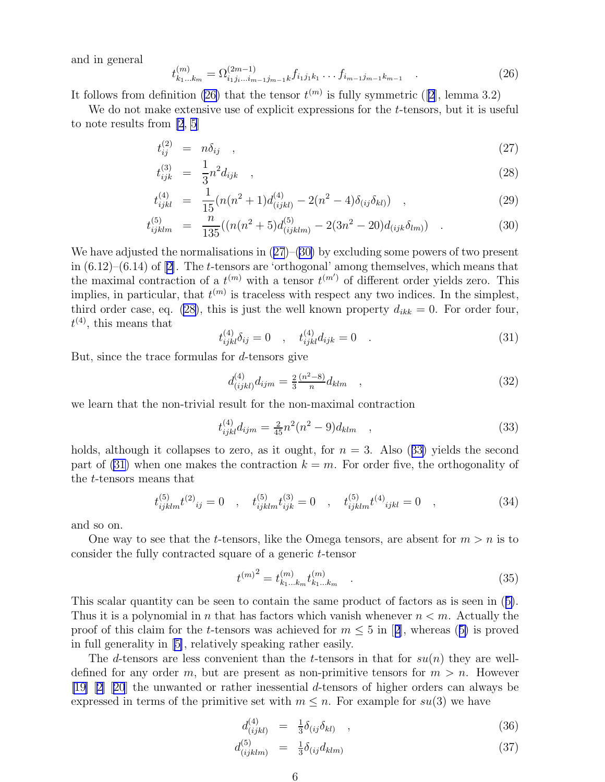<span id="page-5-0"></span>and in general

$$
t_{k_1...k_m}^{(m)} = \Omega_{i_1j_1...i_{m-1}j_{m-1}k}^{(2m-1)} f_{i_1j_1k_1} \dots f_{i_{m-1}j_{m-1}k_{m-1}} \quad . \tag{26}
$$

It follows from definition (26) that the tensor  $t^{(m)}$  is fully symmetric ([\[2\]](#page-14-0), lemma 3.2)

We do not make extensive use of explicit expressions for the  $t$ -tensors, but it is useful to note results from [\[2](#page-14-0), [5](#page-14-0)]

$$
t_{ij}^{(2)} = n\delta_{ij} \quad , \tag{27}
$$

$$
t_{ijk}^{(3)} = \frac{1}{3}n^2 d_{ijk} \quad , \tag{28}
$$

$$
t_{ijkl}^{(4)} = \frac{1}{15} (n(n^2+1)d_{(ijkl)}^{(4)} - 2(n^2-4)\delta_{(ij}\delta_{kl)}) \quad , \tag{29}
$$

$$
t_{ijklm}^{(5)} = \frac{n}{135}((n(n^2+5)d_{(ijklm)}^{(5)} - 2(3n^2-20)d_{(ijk}\delta_{lm)})
$$
 (30)

We have adjusted the normalisations in  $(27)$ – $(30)$  by excluding some powers of two present in  $(6.12)$ – $(6.14)$  of [[2\]](#page-14-0). The t-tensors are 'orthogonal' among themselves, which means that the maximal contraction of a  $t^{(m)}$  with a tensor  $t^{(m')}$  of different order yields zero. This implies, in particular, that  $t^{(m)}$  is traceless with respect any two indices. In the simplest, third order case, eq. (28), this is just the well known property  $d_{ikk} = 0$ . For order four,  $t^{(4)}$ , this means that

$$
t_{ijkl}^{(4)}\delta_{ij} = 0 \quad , \quad t_{ijkl}^{(4)}d_{ijk} = 0 \quad . \tag{31}
$$

But, since the trace formulas for  $d$ -tensors give

$$
d_{(ijkl)}^{(4)} d_{ijm} = \frac{2}{3} \frac{(n^2 - 8)}{n} d_{klm} \quad , \tag{32}
$$

we learn that the non-trivial result for the non-maximal contraction

$$
t_{ijkl}^{(4)} d_{ijm} = \frac{2}{45} n^2 (n^2 - 9) d_{klm} \quad , \tag{33}
$$

holds, although it collapses to zero, as it ought, for  $n = 3$ . Also (33) yields the second part of (31) when one makes the contraction  $k = m$ . For order five, the orthogonality of the t-tensors means that

$$
t_{ijklm}^{(5)}t_{ij}^{(2)} = 0 \quad , \quad t_{ijklm}^{(5)}t_{ijk}^{(3)} = 0 \quad , \quad t_{ijklm}^{(5)}t_{ijkl}^{(4)} = 0 \quad , \tag{34}
$$

and so on.

One way to see that the t-tensors, like the Omega tensors, are absent for  $m > n$  is to consider the fully contracted square of a generic t-tensor

$$
t^{(m)} = t^{(m)}_{k_1...k_m} t^{(m)}_{k_1...k_m} \t\t(35)
$$

This scalar quantity can be seen to contain the same product of factors as is seen in ([5\)](#page-1-0). Thus it is a polynomial in n that has factors which vanish whenever  $n < m$ . Actually the proof of this claim for the t-tensors was achieved for  $m \leq 5$  in [[2\]](#page-14-0), whereas ([5\)](#page-1-0) is proved in full generality in [\[5\]](#page-14-0), relatively speaking rather easily.

The d-tensors are less convenient than the t-tensors in that for  $su(n)$  they are welldefined for any order m, but are present as non-primitive tensors for  $m > n$ . However [\[19\]](#page-15-0) [\[2\]](#page-14-0) [[20](#page-15-0)] the unwanted or rather inessential d-tensors of higher orders can always be expressed in terms of the primitive set with  $m \leq n$ . For example for  $su(3)$  we have

$$
d_{(ijkl)}^{(4)} = \frac{1}{3} \delta_{(ij} \delta_{kl)} \quad , \tag{36}
$$

$$
d_{(ijklm)}^{(5)} = \frac{1}{3} \delta_{(ij} d_{klm)} \tag{37}
$$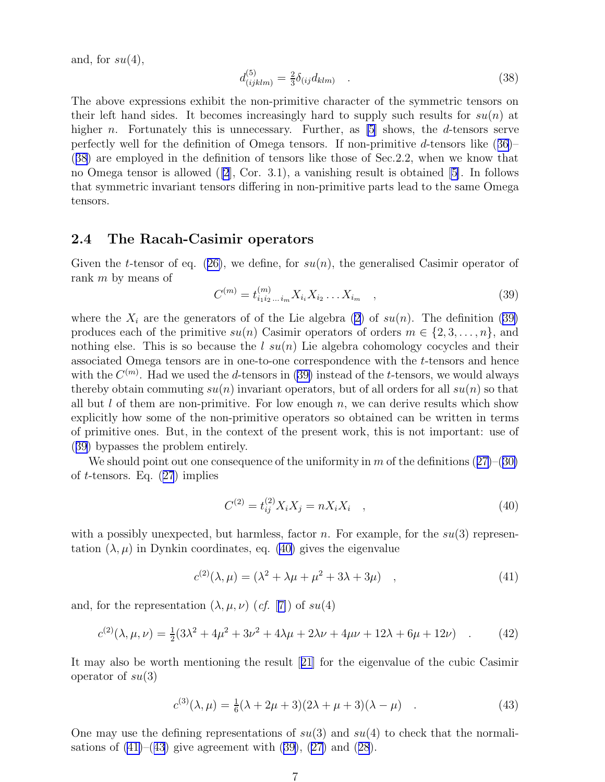<span id="page-6-0"></span>and, for  $su(4)$ ,

$$
d_{(ijklm)}^{(5)} = \frac{2}{3}\delta_{(ij}d_{klm)} \quad . \tag{38}
$$

The above expressions exhibit the non-primitive character of the symmetric tensors on their left hand sides. It becomes increasingly hard to supply such results for  $su(n)$  at higher *n*. Fortunately this is unnecessary. Further, as  $[5]$  shows, the *d*-tensors serve perfectly well for the definition of Omega tensors. If non-primitive d-tensors like  $(36)$  $(36)$ (38) are employed in the definition of tensors like those of Sec.2.2, when we know that no Omega tensor is allowed ([\[2\]](#page-14-0), Cor. 3.1), a vanishing result is obtained [\[5\]](#page-14-0). In follows that symmetric invariant tensors differing in non-primitive parts lead to the same Omega tensors.

#### 2.4 The Racah-Casimir operators

Given the t-tensor of eq. ([26\)](#page-5-0), we define, for  $su(n)$ , the generalised Casimir operator of rank m by means of

$$
C^{(m)} = t_{i_1 i_2 \dots i_m}^{(m)} X_{i_i} X_{i_2} \dots X_{i_m} \quad , \tag{39}
$$

where the  $X_i$  are the generators of of the Lie algebra [\(2\)](#page-1-0) of  $su(n)$ . The definition (39) produces each of the primitive  $su(n)$  Casimir operators of orders  $m \in \{2, 3, \ldots, n\}$ , and nothing else. This is so because the  $l \, su(n)$  Lie algebra cohomology cocycles and their associated Omega tensors are in one-to-one correspondence with the t-tensors and hence with the  $C^{(m)}$ . Had we used the d-tensors in (39) instead of the t-tensors, we would always thereby obtain commuting  $su(n)$  invariant operators, but of all orders for all  $su(n)$  so that all but  $l$  of them are non-primitive. For low enough n, we can derive results which show explicitly how some of the non-primitive operators so obtained can be written in terms of primitive ones. But, in the context of the present work, this is not important: use of (39) bypasses the problem entirely.

We should point out one consequence of the uniformity in m of the definitions  $(27)$  $(27)$ – $(30)$  $(30)$ of *t*-tensors. Eq.  $(27)$  $(27)$  $(27)$  implies

$$
C^{(2)} = t_{ij}^{(2)} X_i X_j = n X_i X_i \quad , \tag{40}
$$

with a possibly unexpected, but harmless, factor n. For example, for the  $su(3)$  representation  $(\lambda, \mu)$  in Dynkin coordinates, eq. (40) gives the eigenvalue

$$
c^{(2)}(\lambda, \mu) = (\lambda^2 + \lambda\mu + \mu^2 + 3\lambda + 3\mu) \quad , \tag{41}
$$

and, for the representation  $(\lambda, \mu, \nu)$  (*cf.* [[7\]](#page-14-0)) of su(4)

$$
c^{(2)}(\lambda,\mu,\nu) = \frac{1}{2}(3\lambda^2 + 4\mu^2 + 3\nu^2 + 4\lambda\mu + 2\lambda\nu + 4\mu\nu + 12\lambda + 6\mu + 12\nu) \quad . \tag{42}
$$

It may also be worth mentioning the result [[21](#page-15-0)] for the eigenvalue of the cubic Casimir operator of  $su(3)$ 

$$
c^{(3)}(\lambda,\mu) = \frac{1}{6}(\lambda + 2\mu + 3)(2\lambda + \mu + 3)(\lambda - \mu)
$$
 (43)

One may use the defining representations of  $su(3)$  and  $su(4)$  to check that the normalisations of  $(41)$ – $(43)$  give agreement with  $(39)$ ,  $(27)$  and  $(28)$  $(28)$  $(28)$ .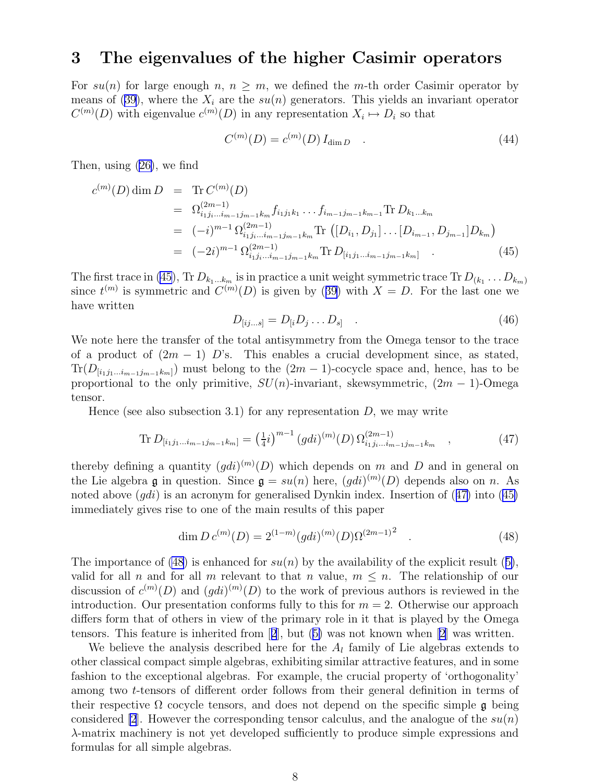## <span id="page-7-0"></span>3 The eigenvalues of the higher Casimir operators

For su(n) for large enough n,  $n \geq m$ , we defined the m-th order Casimir operator by means of [\(39\)](#page-6-0), where the  $X_i$  are the  $su(n)$  generators. This yields an invariant operator  $C^{(m)}(D)$  with eigenvalue  $c^{(m)}(D)$  in any representation  $X_i \mapsto D_i$  so that

$$
C^{(m)}(D) = c^{(m)}(D) I_{\dim D} \quad . \tag{44}
$$

Then, using [\(26\)](#page-5-0), we find

$$
c^{(m)}(D) \dim D = \text{Tr } C^{(m)}(D)
$$
  
\n
$$
= \Omega_{i_1 j_1 \dots i_{m-1} j_{m-1} k_m}^{(2m-1)} f_{i_1 j_1 k_1} \dots f_{i_{m-1} j_{m-1} k_{m-1}} \text{Tr } D_{k_1 \dots k_m}
$$
  
\n
$$
= (-i)^{m-1} \Omega_{i_1 j_1 \dots i_{m-1} j_{m-1} k_m}^{(2m-1)} \text{Tr } ([D_{i_1}, D_{j_1}] \dots [D_{i_{m-1}}, D_{j_{m-1}}] D_{k_m})
$$
  
\n
$$
= (-2i)^{m-1} \Omega_{i_1 j_1 \dots i_{m-1} j_{m-1} k_m}^{(2m-1)} \text{Tr } D_{[i_1 j_1 \dots i_{m-1} j_{m-1} k_m]} \quad . \tag{45}
$$

The first trace in (45), Tr  $D_{k_1...k_m}$  is in practice a unit weight symmetric trace Tr  $D_{(k_1} \ldots D_{k_m)}$ since  $t^{(m)}$  is symmetric and  $C^{(m)}(D)$  is given by ([39\)](#page-6-0) with  $X = D$ . For the last one we have written

$$
D_{[ij...s]} = D_{[i}D_j \dots D_{s]} \quad . \tag{46}
$$

We note here the transfer of the total antisymmetry from the Omega tensor to the trace of a product of  $(2m - 1)$  D's. This enables a crucial development since, as stated,  $Tr(D_{[i_1j_1...i_{m-1}j_{m-1}k_m]})$  must belong to the  $(2m-1)$ -cocycle space and, hence, has to be proportional to the only primitive,  $SU(n)$ -invariant, skewsymmetric,  $(2m - 1)$ -Omega tensor.

Hence (see also subsection 3.1) for any representation  $D$ , we may write

$$
\text{Tr } D_{[i_1 j_1 \dots i_{m-1} j_{m-1} k_m]} = \left(\frac{1}{4} i\right)^{m-1} \left(gdi\right)^{(m)}(D) \Omega_{i_1 j_1 \dots i_{m-1} j_{m-1} k_m}^{(2m-1)} \quad , \tag{47}
$$

thereby defining a quantity  $(gdi)^{(m)}(D)$  which depends on m and D and in general on the Lie algebra **g** in question. Since  $\mathfrak{g} = su(n)$  here,  $(gdi)^{(m)}(D)$  depends also on n. As noted above  $(qdi)$  is an acronym for generalised Dynkin index. Insertion of (47) into (45) immediately gives rise to one of the main results of this paper

$$
\dim D \, c^{(m)}(D) = 2^{(1-m)}(gdi)^{(m)}(D)\Omega^{(2m-1)^2} \quad . \tag{48}
$$

The importance of (48) is enhanced for  $su(n)$  by the availability of the explicit result ([5\)](#page-1-0), valid for all n and for all m relevant to that n value,  $m \leq n$ . The relationship of our discussion of  $c^{(m)}(D)$  and  $(gdi)^{(m)}(D)$  to the work of previous authors is reviewed in the introduction. Our presentation conforms fully to this for  $m = 2$ . Otherwise our approach differs form that of others in view of the primary role in it that is played by the Omega tensors. This feature is inherited from [[2](#page-14-0)], but ([5\)](#page-1-0) was not known when [\[2\]](#page-14-0) was written.

We believe the analysis described here for the  $A_l$  family of Lie algebras extends to other classical compact simple algebras, exhibiting similar attractive features, and in some fashion to the exceptional algebras. For example, the crucial property of 'orthogonality' among two t-tensors of different order follows from their general definition in terms of their respective  $\Omega$  cocycle tensors, and does not depend on the specific simple g being considered [\[2\]](#page-14-0). However the corresponding tensor calculus, and the analogue of the  $su(n)$ λ-matrix machinery is not yet developed sufficiently to produce simple expressions and formulas for all simple algebras.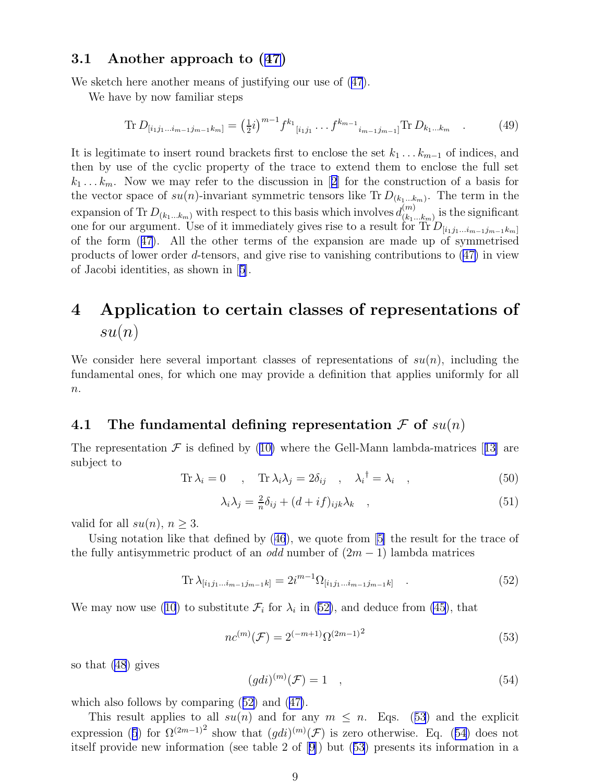#### <span id="page-8-0"></span>3.1 Another approach to ([47\)](#page-7-0)

We sketch here another means of justifying our use of ([47](#page-7-0)).

We have by now familiar steps

$$
\text{Tr}\ D_{[i_1j_1\ldots i_{m-1}j_{m-1}k_m]} = \left(\frac{1}{2}i\right)^{m-1} f^{k_1}{}_{[i_1j_1}\ldots f^{k_{m-1}}{}_{i_{m-1}j_{m-1}]} \text{Tr}\ D_{k_1\ldots k_m} \quad . \tag{49}
$$

It is legitimate to insert round brackets first to enclose the set  $k_1 \ldots k_{m-1}$  of indices, and then by use of the cyclic property of the trace to extend them to enclose the full set  $k_1 \ldots k_m$ . Now we may refer to the discussion in [[2](#page-14-0)] for the construction of a basis for the vector space of  $su(n)$ -invariant symmetric tensors like Tr  $D_{(k_1...k_m)}$ . The term in the expansion of Tr  $D_{(k_1...k_m)}$  with respect to this basis which involves  $d_{(k_1...k_m)}^{(m)}$  $\binom{m}{(k_1...k_m)}$  is the significant one for our argument. Use of it immediately gives rise to a result for  $\text{Tr } D_{[i_1j_1...i_{m-1}j_{m-1}k_m]}$ of the form ([47](#page-7-0)). All the other terms of the expansion are made up of symmetrised products of lower order d-tensors, and give rise to vanishing contributions to ([47\)](#page-7-0) in view of Jacobi identities, as shown in [[5](#page-14-0)].

## 4 Application to certain classes of representations of  $su(n)$

We consider here several important classes of representations of  $su(n)$ , including the fundamental ones, for which one may provide a definition that applies uniformly for all  $\boldsymbol{n}.$ 

### 4.1 The fundamental defining representation  $\mathcal F$  of  $su(n)$

The representation  $\mathcal F$  is defined by ([10\)](#page-2-0) where the Gell-Mann lambda-matrices [[13\]](#page-15-0) are subject to

$$
\text{Tr}\,\lambda_i = 0 \quad , \quad \text{Tr}\,\lambda_i \lambda_j = 2\delta_{ij} \quad , \quad \lambda_i^{\dagger} = \lambda_i \quad , \tag{50}
$$

$$
\lambda_i \lambda_j = \frac{2}{n} \delta_{ij} + (d + if)_{ijk} \lambda_k \quad , \tag{51}
$$

valid for all  $su(n)$ ,  $n \geq 3$ .

Using notation like that defined by ([46](#page-7-0)), we quote from [\[5\]](#page-14-0) the result for the trace of the fully antisymmetric product of an *odd* number of  $(2m - 1)$  lambda matrices

$$
\operatorname{Tr} \lambda_{[i_1 j_1 \dots i_{m-1} j_{m-1} k]} = 2i^{m-1} \Omega_{[i_1 j_1 \dots i_{m-1} j_{m-1} k]} \quad . \tag{52}
$$

We may now use ([10](#page-2-0)) to substitute  $\mathcal{F}_i$  for  $\lambda_i$  in (52), and deduce from [\(45\)](#page-7-0), that

$$
nc^{(m)}(\mathcal{F}) = 2^{(-m+1)} \Omega^{(2m-1)^2}
$$
\n(53)

so that [\(48\)](#page-7-0) gives

$$
(gdi)^{(m)}(\mathcal{F}) = 1 \quad , \tag{54}
$$

which also follows by comparing (52) and ([47\)](#page-7-0).

This result applies to all  $su(n)$  and for any  $m \leq n$ . Eqs. (53) and the explicit expression ([5](#page-1-0)) for  $\Omega^{(2m-1)^2}$  show that  $(gdi)^{(m)}(\mathcal{F})$  is zero otherwise. Eq. (54) does not itself provide new information (see table 2 of [\[9\]](#page-14-0)) but (53) presents its information in a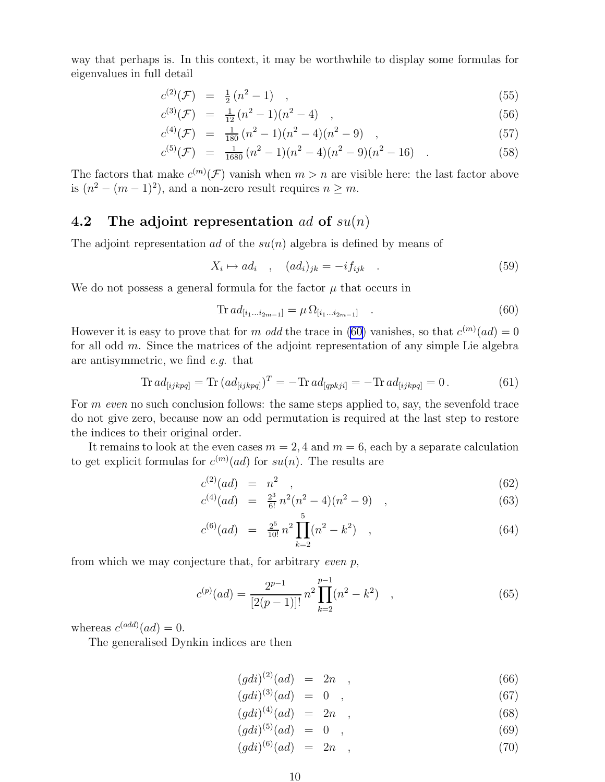<span id="page-9-0"></span>way that perhaps is. In this context, it may be worthwhile to display some formulas for eigenvalues in full detail

$$
c^{(2)}(\mathcal{F}) = \frac{1}{2}(n^2 - 1) \quad , \tag{55}
$$

$$
c^{(3)}(\mathcal{F}) = \frac{1}{12}(n^2 - 1)(n^2 - 4) \quad , \tag{56}
$$

$$
c^{(4)}(\mathcal{F}) = \frac{1}{180}(n^2 - 1)(n^2 - 4)(n^2 - 9) \quad , \tag{57}
$$

$$
c^{(5)}(\mathcal{F}) = \frac{1}{1680} (n^2 - 1)(n^2 - 4)(n^2 - 9)(n^2 - 16) \quad . \tag{58}
$$

The factors that make  $c^{(m)}(\mathcal{F})$  vanish when  $m > n$  are visible here: the last factor above is  $(n^2 - (m-1)^2)$ , and a non-zero result requires  $n \geq m$ .

### 4.2 The adjoint representation ad of  $su(n)$

The adjoint representation ad of the  $su(n)$  algebra is defined by means of

$$
X_i \mapsto ad_i \quad , \quad (ad_i)_{jk} = -if_{ijk} \quad . \tag{59}
$$

We do not possess a general formula for the factor  $\mu$  that occurs in

$$
\text{Tr}\, ad_{[i_1...i_{2m-1}]} = \mu \Omega_{[i_1...i_{2m-1}]} \quad . \tag{60}
$$

However it is easy to prove that for m *odd* the trace in (60) vanishes, so that  $c^{(m)}(ad) = 0$ for all odd m. Since the matrices of the adjoint representation of any simple Lie algebra are antisymmetric, we find e.g. that

$$
\operatorname{Tr} ad_{[ijkpq]} = \operatorname{Tr} (ad_{[ijkpq]})^T = -\operatorname{Tr} ad_{[qpkji]} = -\operatorname{Tr} ad_{[ijkpq]} = 0.
$$
 (61)

For m even no such conclusion follows: the same steps applied to, say, the sevenfold trace do not give zero, because now an odd permutation is required at the last step to restore the indices to their original order.

It remains to look at the even cases  $m = 2, 4$  and  $m = 6$ , each by a separate calculation to get explicit formulas for  $c^{(m)}(ad)$  for  $su(n)$ . The results are

$$
c^{(2)}(ad) = n^2 \quad , \tag{62}
$$

$$
c^{(4)}(ad) = \frac{2^3}{6!} n^2 (n^2 - 4)(n^2 - 9) \quad , \tag{63}
$$

$$
c^{(6)}(ad) = \frac{2^5}{10!} n^2 \prod_{k=2}^5 (n^2 - k^2) , \qquad (64)
$$

from which we may conjecture that, for arbitrary even p,

$$
c^{(p)}(ad) = \frac{2^{p-1}}{[2(p-1)]!} n^2 \prod_{k=2}^{p-1} (n^2 - k^2) , \qquad (65)
$$

whereas  $c^{(odd)}(ad) = 0$ .

The generalised Dynkin indices are then

$$
(gdi)^{(2)}(ad) = 2n \t (66)
$$

$$
(gdi)^{(3)}(ad) = 0 \t\t(67)
$$

- $(gdi)^{(4)}(ad) = 2n ,$  (68)
- $(gdi)^{(5)}(ad) = 0$ , (69)

$$
(gdi)^{(6)}(ad) = 2n \quad , \tag{70}
$$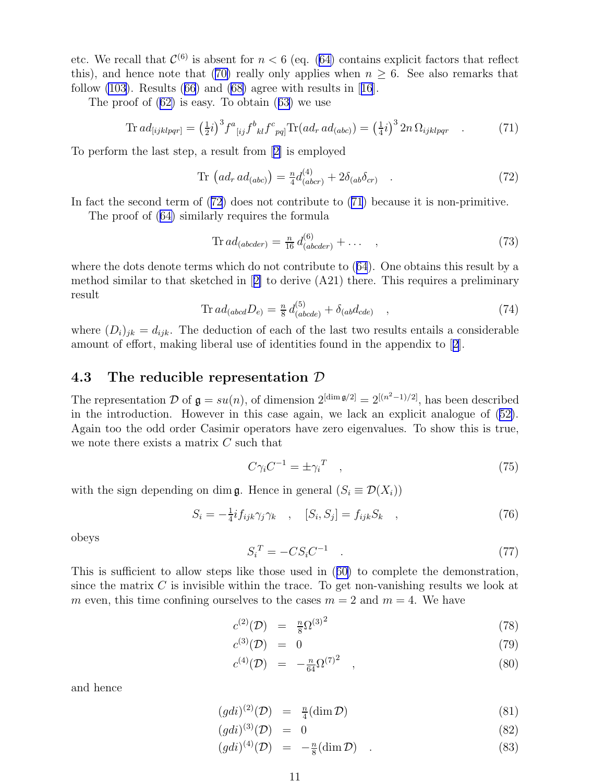<span id="page-10-0"></span>etc. We recall that  $\mathcal{C}^{(6)}$  is absent for  $n < 6$  (eq. [\(64\)](#page-9-0) contains explicit factors that reflect this), and hence note that [\(70\)](#page-9-0) really only applies when  $n \geq 6$ . See also remarks that follow  $(103)$ . Results  $(66)$  $(66)$  $(66)$  and  $(68)$  agree with results in [[16](#page-15-0)].

The proof of ([62\)](#page-9-0) is easy. To obtain ([63\)](#page-9-0) we use

$$
\operatorname{Tr} ad_{[ijklpqr]} = \left(\frac{1}{2}i\right)^3 f^a{}_{[ij} f^b{}_{kl} f^c{}_{pq]} \operatorname{Tr} (ad_r \, ad_{(abc)}) = \left(\frac{1}{4}i\right)^3 2n \, \Omega_{ijklpqr} \quad . \tag{71}
$$

To perform the last step, a result from [\[2\]](#page-14-0) is employed

$$
\text{Tr}\,\left(ad_r\,ad_{(abc)}\right) = \frac{n}{4}d^{(4)}_{(abcr)} + 2\delta_{(ab}\delta_{cr)}\quad.\tag{72}
$$

In fact the second term of (72) does not contribute to (71) because it is non-primitive.

The proof of ([64\)](#page-9-0) similarly requires the formula

$$
\text{Tr}\,ad_{(abcdef)} = \frac{n}{16}\,d^{(6)}_{(abcdef)} + \dots \quad , \tag{73}
$$

where the dots denote terms which do not contribute to ([64](#page-9-0)). One obtains this result by a method similar to that sketched in [[2\]](#page-14-0) to derive (A21) there. This requires a preliminary result

$$
\operatorname{Tr} ad_{(abcd} D_{e)} = \frac{n}{8} d^{(5)}_{(abcde)} + \delta_{(ab} d_{cde)} \quad , \tag{74}
$$

where  $(D_i)_{jk} = d_{ijk}$ . The deduction of each of the last two results entails a considerable amount of effort, making liberal use of identities found in the appendix to [[2](#page-14-0)].

#### 4.3 The reducible representation D

The representation  $\mathcal{D}$  of  $\mathfrak{g} = su(n)$ , of dimension  $2^{[\dim \mathfrak{g}/2]} = 2^{[(n^2-1)/2]}$ , has been described in the introduction. However in this case again, we lack an explicit analogue of ([52\)](#page-8-0). Again too the odd order Casimir operators have zero eigenvalues. To show this is true, we note there exists a matrix C such that

$$
C\gamma_i C^{-1} = \pm \gamma_i^T \quad , \tag{75}
$$

with the sign depending on dim g. Hence in general  $(S_i \equiv \mathcal{D}(X_i))$ 

$$
S_i = -\frac{1}{4} i f_{ijk} \gamma_j \gamma_k \quad , \quad [S_i, S_j] = f_{ijk} S_k \quad , \tag{76}
$$

obeys

$$
S_i^T = -CS_iC^{-1} \quad . \tag{77}
$$

This is sufficient to allow steps like those used in ([60\)](#page-9-0) to complete the demonstration, since the matrix  $C$  is invisible within the trace. To get non-vanishing results we look at m even, this time confining ourselves to the cases  $m = 2$  and  $m = 4$ . We have

$$
c^{(2)}(\mathcal{D}) = \frac{n}{8}\Omega^{(3)^2} \tag{78}
$$

$$
c^{(3)}(\mathcal{D}) = 0 \tag{79}
$$

$$
c^{(4)}(\mathcal{D}) = -\frac{n}{64} \Omega^{(7)^2} \quad , \tag{80}
$$

and hence

$$
(gdi)^{(2)}(\mathcal{D}) = \frac{n}{4}(\dim \mathcal{D}) \tag{81}
$$

$$
(gdi)^{(3)}(\mathcal{D}) = 0 \tag{82}
$$

$$
(gdi)^{(4)}(\mathcal{D}) = -\frac{n}{8}(\dim \mathcal{D}) \quad . \tag{83}
$$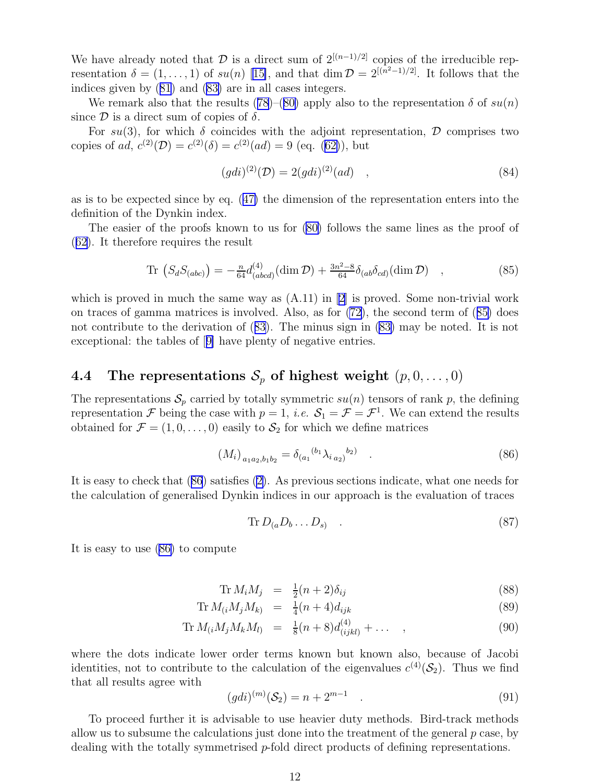<span id="page-11-0"></span>We have already noted that  $\mathcal{D}$  is a direct sum of  $2^{[(n-1)/2]}$  copies of the irreducible representation  $\delta = (1, \ldots, 1)$  of  $su(n)$  [\[15\]](#page-15-0), and that dim  $\mathcal{D} = 2^{[(n^2-1)/2]}$ . It follows that the indices given by ([81](#page-10-0)) and [\(83\)](#page-10-0) are in all cases integers.

We remark also that the results ([78\)](#page-10-0)–([80\)](#page-10-0) apply also to the representation  $\delta$  of  $su(n)$ since  $\mathcal D$  is a direct sum of copies of  $\delta$ .

For su(3), for which  $\delta$  coincides with the adjoint representation,  $\mathcal D$  comprises two copies of ad,  $c^{(2)}(\mathcal{D}) = c^{(2)}(\delta) = c^{(2)}(ad) = 9$  (eq. ([62\)](#page-9-0)), but

$$
(gdi)^{(2)}(\mathcal{D}) = 2(gdi)^{(2)}(ad) \quad , \tag{84}
$$

as is to be expected since by eq. ([47\)](#page-7-0) the dimension of the representation enters into the definition of the Dynkin index.

The easier of the proofs known to us for [\(80\)](#page-10-0) follows the same lines as the proof of ([62](#page-9-0)). It therefore requires the result

Tr 
$$
(S_d S_{(abc)}) = -\frac{n}{64} d^{(4)}_{(abcd)} (\dim \mathcal{D}) + \frac{3n^2 - 8}{64} \delta_{(ab} \delta_{cd)} (\dim \mathcal{D})
$$
, (85)

which is proved in much the same way as  $(A.11)$  in [\[2](#page-14-0)] is proved. Some non-trivial work on traces of gamma matrices is involved. Also, as for [\(72\)](#page-10-0), the second term of (85) does not contribute to the derivation of ([83\)](#page-10-0). The minus sign in [\(83\)](#page-10-0) may be noted. It is not exceptional: the tables of [[9\]](#page-14-0) have plenty of negative entries.

### 4.4 The representations  $S_p$  of highest weight  $(p, 0, \ldots, 0)$

The representations  $S_p$  carried by totally symmetric  $su(n)$  tensors of rank p, the defining representation F being the case with  $p = 1$ , *i.e.*  $\mathcal{S}_1 = \mathcal{F} = \mathcal{F}^1$ . We can extend the results obtained for  $\mathcal{F} = (1, 0, \dots, 0)$  easily to  $\mathcal{S}_2$  for which we define matrices

$$
(M_i)_{a_1 a_2, b_1 b_2} = \delta_{(a_1}^{(b_1)} \lambda_{i a_2})^{b_2} . \tag{86}
$$

It is easy to check that (86) satisfies ([2\)](#page-1-0). As previous sections indicate, what one needs for the calculation of generalised Dynkin indices in our approach is the evaluation of traces

$$
\operatorname{Tr} D_{(a} D_b \dots D_s) \quad . \tag{87}
$$

It is easy to use (86) to compute

$$
\operatorname{Tr} M_i M_j = \frac{1}{2}(n+2)\delta_{ij} \tag{88}
$$

$$
\text{Tr } M_{(i}M_jM_{k)} = \frac{1}{4}(n+4)d_{ijk} \tag{89}
$$

$$
\text{Tr } M_{(i}M_jM_kM_{l)} = \frac{1}{8}(n+8)d_{(ijkl)}^{(4)} + \dots \quad , \tag{90}
$$

where the dots indicate lower order terms known but known also, because of Jacobi identities, not to contribute to the calculation of the eigenvalues  $c^{(4)}(\mathcal{S}_2)$ . Thus we find that all results agree with

$$
(gdi)^{(m)}(S_2) = n + 2^{m-1} \quad . \tag{91}
$$

To proceed further it is advisable to use heavier duty methods. Bird-track methods allow us to subsume the calculations just done into the treatment of the general  $p$  case, by dealing with the totally symmetrised p-fold direct products of defining representations.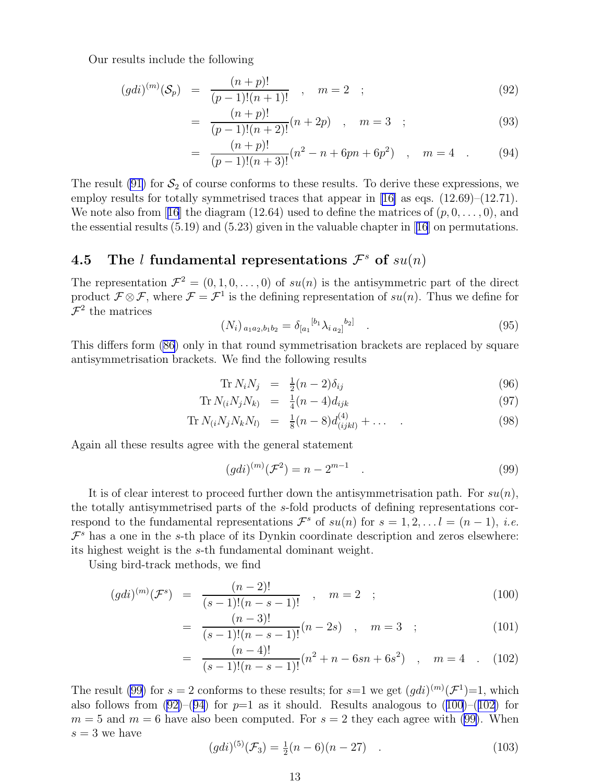<span id="page-12-0"></span>Our results include the following

$$
(gdi)^{(m)}(S_p) = \frac{(n+p)!}{(p-1)!(n+1)!} \quad , \quad m=2 \quad ; \tag{92}
$$

$$
= \frac{(n+p)!}{(p-1)!(n+2)!}(n+2p) , \quad m=3 ; \qquad (93)
$$

$$
= \frac{(n+p)!}{(p-1)!(n+3)!}(n^2 - n + 6pn + 6p^2) , \quad m = 4 . \tag{94}
$$

The result [\(91\)](#page-11-0) for  $S_2$  of course conforms to these results. To derive these expressions, we employ results for totally symmetrised traces that appear in [\[16\]](#page-15-0) as eqs.  $(12.69)$ – $(12.71)$ . We note also from [[16](#page-15-0)] the diagram (12.64) used to define the matrices of  $(p, 0, \ldots, 0)$ , and the essential results (5.19) and (5.23) given in the valuable chapter in [[16](#page-15-0)] on permutations.

# 4.5 The l fundamental representations  $\mathcal{F}^s$  of  $su(n)$

The representation  $\mathcal{F}^2 = (0, 1, 0, \ldots, 0)$  of  $su(n)$  is the antisymmetric part of the direct product  $\mathcal{F} \otimes \mathcal{F}$ , where  $\mathcal{F} = \mathcal{F}^1$  is the defining representation of  $su(n)$ . Thus we define for  $\mathcal{F}^2$  the matrices

$$
(N_i)_{a_1 a_2, b_1 b_2} = \delta_{[a_1}^{[b_1} \lambda_{i a_2]}^{b_2]} \quad . \tag{95}
$$

This differs form [\(86\)](#page-11-0) only in that round symmetrisation brackets are replaced by square antisymmetrisation brackets. We find the following results

$$
\text{Tr } N_i N_j = \frac{1}{2}(n-2)\delta_{ij} \tag{96}
$$

$$
\text{Tr}\, N_{(i}N_{j}N_{k)} = \frac{1}{4}(n-4)d_{ijk} \tag{97}
$$

$$
\text{Tr } N_{(i} N_j N_k N_l) = \frac{1}{8} (n-8) d^{(4)}_{(ijkl)} + \dots \quad . \tag{98}
$$

Again all these results agree with the general statement

$$
(gdi)^{(m)}(\mathcal{F}^2) = n - 2^{m-1} \quad . \tag{99}
$$

It is of clear interest to proceed further down the antisymmetrisation path. For  $su(n)$ , the totally antisymmetrised parts of the s-fold products of defining representations correspond to the fundamental representations  $\mathcal{F}^s$  of  $su(n)$  for  $s = 1, 2, \ldots, l = (n-1), i.e.$  $\mathcal{F}^s$  has a one in the s-th place of its Dynkin coordinate description and zeros elsewhere: its highest weight is the s-th fundamental dominant weight.

Using bird-track methods, we find

$$
(gdi)^{(m)}(\mathcal{F}^s) = \frac{(n-2)!}{(s-1)!(n-s-1)!}, \quad m=2 \quad ; \tag{100}
$$

$$
= \frac{(n-3)!}{(s-1)!(n-s-1)!}(n-2s) , \quad m=3 ; \qquad (101)
$$

$$
= \frac{(n-4)!}{(s-1)!(n-s-1)!}(n^2+n-6sn+6s^2) , \quad m=4 . \quad (102)
$$

The result (99) for  $s = 2$  conforms to these results; for  $s=1$  we get  $(gdi)^{(m)}(\mathcal{F}^1)=1$ , which also follows from  $(92)$ – $(94)$  for  $p=1$  as it should. Results analogous to  $(100)$ – $(102)$  for  $m = 5$  and  $m = 6$  have also been computed. For  $s = 2$  they each agree with (99). When  $s = 3$  we have

$$
(gdi)^{(5)}(\mathcal{F}_3) = \frac{1}{2}(n-6)(n-27) \quad . \tag{103}
$$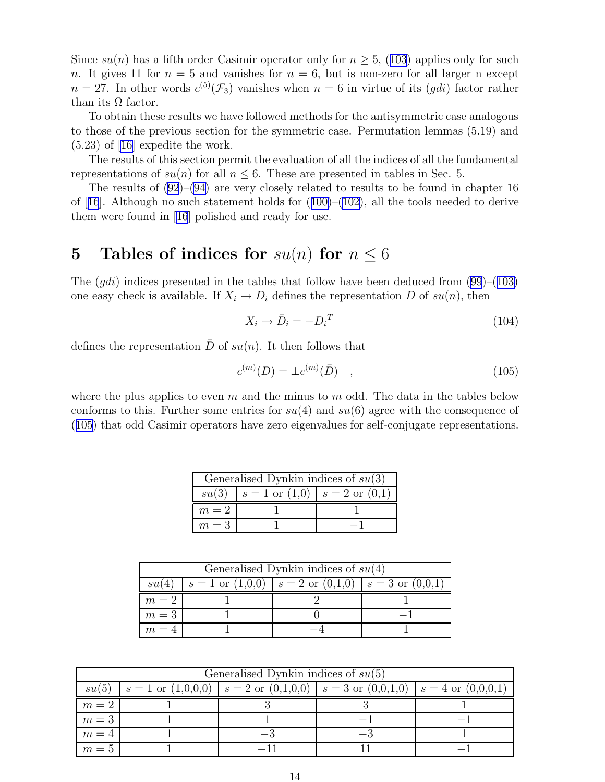Since  $su(n)$  has a fifth order Casimir operator only for  $n \geq 5$ , ([103\)](#page-12-0) applies only for such n. It gives 11 for  $n = 5$  and vanishes for  $n = 6$ , but is non-zero for all larger n except  $n = 27$ . In other words  $c^{(5)}(\mathcal{F}_3)$  vanishes when  $n = 6$  in virtue of its  $(gdi)$  factor rather than its  $\Omega$  factor.

To obtain these results we have followed methods for the antisymmetric case analogous to those of the previous section for the symmetric case. Permutation lemmas (5.19) and (5.23) of [\[16](#page-15-0)] expedite the work.

The results of this section permit the evaluation of all the indices of all the fundamental representations of  $su(n)$  for all  $n \leq 6$ . These are presented in tables in Sec. 5.

The results of ([92](#page-12-0))–[\(94\)](#page-12-0) are very closely related to results to be found in chapter 16 of [[16](#page-15-0)]. Although no such statement holds for  $(100)$  $(100)$ – $(102)$  $(102)$ , all the tools needed to derive them were found in [[16](#page-15-0)] polished and ready for use.

## 5 Tables of indices for  $su(n)$  for  $n \leq 6$

The  $(gdi)$  indices presented in the tables that follow have been deduced from  $(99)$  $(99)$  $(99)$ – $(103)$  $(103)$ one easy check is available. If  $X_i \mapsto D_i$  defines the representation D of  $su(n)$ , then

$$
X_i \mapsto \bar{D}_i = -D_i^T \tag{104}
$$

defines the representation  $\bar{D}$  of  $su(n)$ . It then follows that

$$
c^{(m)}(D) = \pm c^{(m)}(\bar{D}) \quad , \tag{105}
$$

where the plus applies to even m and the minus to m odd. The data in the tables below conforms to this. Further some entries for  $su(4)$  and  $su(6)$  agree with the consequence of (105) that odd Casimir operators have zero eigenvalues for self-conjugate representations.

| Generalised Dynkin indices of $su(3)$ |                                                   |  |  |
|---------------------------------------|---------------------------------------------------|--|--|
|                                       | $su(3)$   $s = 1$ or $(1,0)$   $s = 2$ or $(0,1)$ |  |  |
| $m=2$                                 |                                                   |  |  |
| $m=3$                                 |                                                   |  |  |

| Generalised Dynkin indices of $su(4)$ |  |                                                                    |  |  |  |  |
|---------------------------------------|--|--------------------------------------------------------------------|--|--|--|--|
| su(4)                                 |  | $s = 1$ or $(1,0,0)$   $s = 2$ or $(0,1,0)$   $s = 3$ or $(0,0,1)$ |  |  |  |  |
| $m=2$                                 |  |                                                                    |  |  |  |  |
| $m=3$                                 |  |                                                                    |  |  |  |  |
| $m=4$                                 |  |                                                                    |  |  |  |  |

| Generalised Dynkin indices of $su(5)$ |  |                                                                                         |  |  |  |
|---------------------------------------|--|-----------------------------------------------------------------------------------------|--|--|--|
| su(5)                                 |  | $ s=1$ or $(1,0,0,0)$ $ s=2$ or $(0,1,0,0)$ $ s=3$ or $(0,0,1,0)$ $ s=4$ or $(0,0,0,1)$ |  |  |  |
| $m=2$                                 |  |                                                                                         |  |  |  |
| $m=3$                                 |  |                                                                                         |  |  |  |
| $m=4$                                 |  |                                                                                         |  |  |  |
| $m=5$                                 |  |                                                                                         |  |  |  |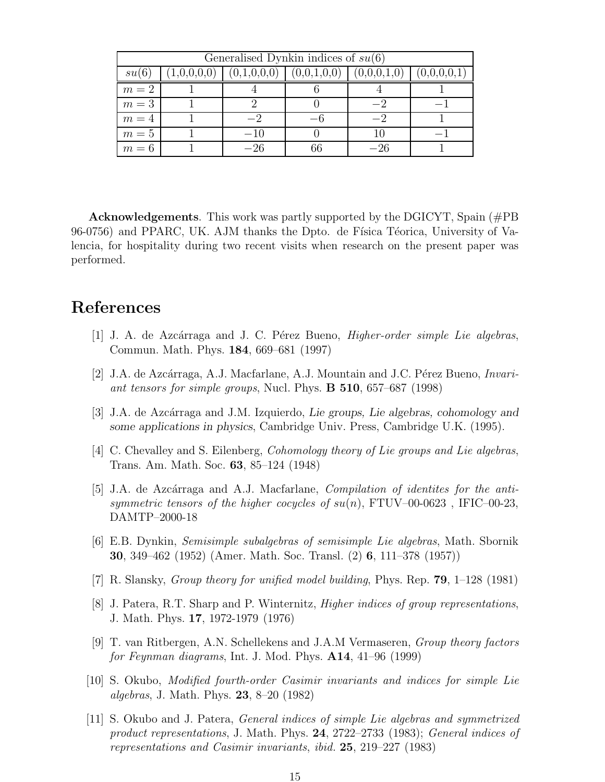<span id="page-14-0"></span>

| Generalised Dynkin indices of $su(6)$ |  |       |    |       |  |  |
|---------------------------------------|--|-------|----|-------|--|--|
| su(6)                                 |  |       |    |       |  |  |
| $m=2$                                 |  |       |    |       |  |  |
| $m=3$                                 |  |       |    |       |  |  |
| $m=4$                                 |  |       |    |       |  |  |
| $m=5$                                 |  | $-10$ |    |       |  |  |
| $m=6$                                 |  | $-26$ | 66 | $-26$ |  |  |

Acknowledgements. This work was partly supported by the DGICYT, Spain (#PB) 96-0756) and PPARC, UK. AJM thanks the Dpto. de Física Téorica, University of Valencia, for hospitality during two recent visits when research on the present paper was performed.

## References

- [1] J. A. de Azcárraga and J. C. Pérez Bueno, *Higher-order simple Lie algebras*, Commun. Math. Phys. 184, 669–681 (1997)
- [2] J.A. de Azcárraga, A.J. Macfarlane, A.J. Mountain and J.C. Pérez Bueno, *Invari*ant tensors for simple groups, Nucl. Phys.  $\bf{B}$  510, 657–687 (1998)
- [3] J.A. de Azcárraga and J.M. Izquierdo, Lie groups, Lie algebras, cohomology and some applications in physics, Cambridge Univ. Press, Cambridge U.K. (1995).
- [4] C. Chevalley and S. Eilenberg, Cohomology theory of Lie groups and Lie algebras, Trans. Am. Math. Soc. 63, 85–124 (1948)
- [5] J.A. de Azcárraga and A.J. Macfarlane, *Compilation of identities for the anti*symmetric tensors of the higher cocycles of  $su(n)$ , FTUV–00-0623, IFIC–00-23, DAMTP–2000-18
- [6] E.B. Dynkin, Semisimple subalgebras of semisimple Lie algebras, Math. Sbornik 30, 349–462 (1952) (Amer. Math. Soc. Transl. (2) 6, 111–378 (1957))
- [7] R. Slansky, Group theory for unified model building, Phys. Rep. 79, 1–128 (1981)
- [8] J. Patera, R.T. Sharp and P. Winternitz, Higher indices of group representations, J. Math. Phys. 17, 1972-1979 (1976)
- [9] T. van Ritbergen, A.N. Schellekens and J.A.M Vermaseren, Group theory factors for Feynman diagrams, Int. J. Mod. Phys.  $A14$ , 41–96 (1999)
- [10] S. Okubo, Modified fourth-order Casimir invariants and indices for simple Lie algebras, J. Math. Phys. 23, 8–20 (1982)
- [11] S. Okubo and J. Patera, General indices of simple Lie algebras and symmetrized product representations, J. Math. Phys. 24, 2722–2733 (1983); General indices of representations and Casimir invariants, ibid. 25, 219–227 (1983)